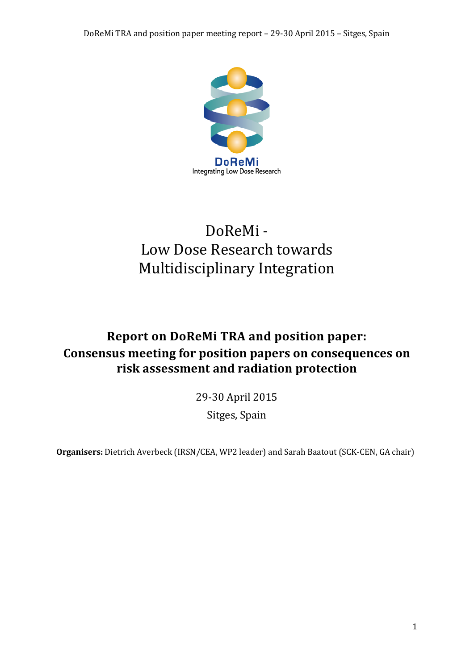

# DoReMi - Low Dose Research towards Multidisciplinary Integration

# **Report on DoReMi TRA and position paper: Consensus meeting for position papers on consequences on risk assessment and radiation protection**

29-30 April 2015

Sitges, Spain

**Organisers:** Dietrich Averbeck (IRSN/CEA, WP2 leader) and Sarah Baatout (SCK-CEN, GA chair)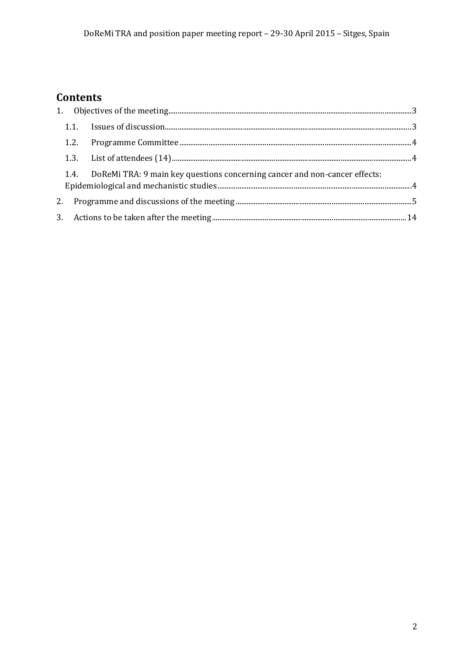# Contents

|  | 1.4. DoReMi TRA: 9 main key questions concerning cancer and non-cancer effects: |  |
|--|---------------------------------------------------------------------------------|--|
|  |                                                                                 |  |
|  |                                                                                 |  |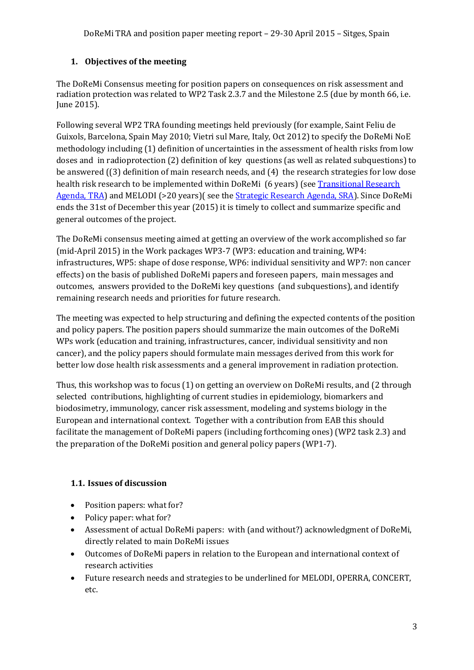# <span id="page-2-0"></span>**1. Objectives of the meeting**

The DoReMi Consensus meeting for position papers on consequences on risk assessment and radiation protection was related to WP2 Task 2.3.7 and the Milestone 2.5 (due by month 66, i.e. June 2015).

Following several WP2 TRA founding meetings held previously (for example, Saint Feliu de Guixols, Barcelona, Spain May 2010; Vietri sul Mare, Italy, Oct 2012) to specify the DoReMi NoE methodology including (1) definition of uncertainties in the assessment of health risks from low doses and in radioprotection (2) definition of key questions (as well as related subquestions) to be answered ((3) definition of main research needs, and (4) the research strategies for low dose health risk research to be implemented within DoReMi (6 years) (see [Transitional Research](http://www.doremi-noe.net/transitional_research_agenda.html)  [Agenda, TRA\)](http://www.doremi-noe.net/transitional_research_agenda.html) and MELODI (>20 years)( see the **Strategic Research Agenda, SRA**). Since DoReMi ends the 31st of December this year (2015) it is timely to collect and summarize specific and general outcomes of the project.

The DoReMi consensus meeting aimed at getting an overview of the work accomplished so far (mid-April 2015) in the Work packages WP3-7 (WP3: education and training, WP4: infrastructures, WP5: shape of dose response, WP6: individual sensitivity and WP7: non cancer effects) on the basis of published DoReMi papers and foreseen papers, main messages and outcomes, answers provided to the DoReMi key questions (and subquestions), and identify remaining research needs and priorities for future research.

The meeting was expected to help structuring and defining the expected contents of the position and policy papers*.* The position papers should summarize the main outcomes of the DoReMi WPs work (education and training, infrastructures, cancer, individual sensitivity and non cancer), and the policy papers should formulate main messages derived from this work for better low dose health risk assessments and a general improvement in radiation protection.

Thus, this workshop was to focus (1) on getting an overview on DoReMi results, and (2 through selected contributions, highlighting of current studies in epidemiology, biomarkers and biodosimetry, immunology, cancer risk assessment, modeling and systems biology in the European and international context. Together with a contribution from EAB this should facilitate the management of DoReMi papers (including forthcoming ones) (WP2 task 2.3) and the preparation of the DoReMi position and general policy papers (WP1-7).

# <span id="page-2-1"></span>**1.1. Issues of discussion**

- Position papers: what for?
- Policy paper: what for?
- Assessment of actual DoReMi papers: with (and without?) acknowledgment of DoReMi, directly related to main DoReMi issues
- Outcomes of DoReMi papers in relation to the European and international context of research activities
- Future research needs and strategies to be underlined for MELODI, OPERRA, CONCERT, etc.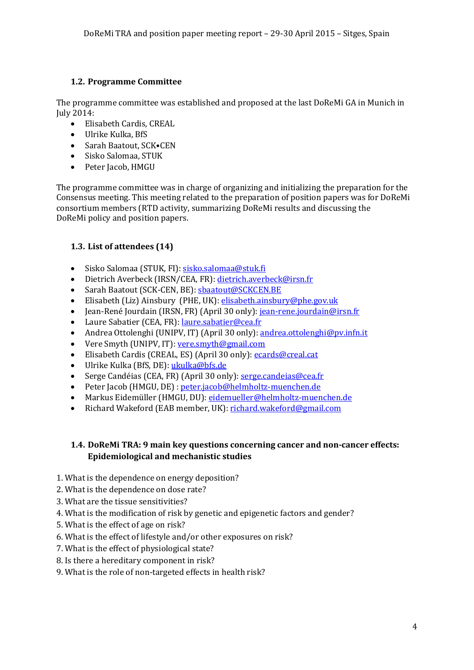# <span id="page-3-0"></span>**1.2. Programme Committee**

The programme committee was established and proposed at the last DoReMi GA in Munich in July 2014:

- Elisabeth Cardis, CREAL
- Ulrike Kulka, BfS
- Sarah Baatout, SCK•CEN
- Sisko Salomaa, STUK
- Peter Jacob, HMGU

The programme committee was in charge of organizing and initializing the preparation for the Consensus meeting. This meeting related to the preparation of position papers was for DoReMi consortium members (RTD activity, summarizing DoReMi results and discussing the DoReMi policy and position papers.

# <span id="page-3-1"></span>**1.3. List of attendees (14)**

- Sisko Salomaa (STUK, FI): [sisko.salomaa@stuk.fi](mailto:sisko.salomaa@stuk.fi)
- Dietrich Averbeck (IRSN/CEA, FR): [dietrich.averbeck@irsn.fr](mailto:dietrich.averbeck@irsn.fr)
- Sarah Baatout (SCK-CEN, BE): [sbaatout@SCKCEN.BE](mailto:sbaatout@SCKCEN.BE)
- Elisabeth (Liz) Ainsbury (PHE, UK): [elisabeth.ainsbury@phe.gov.uk](mailto:elisabeth.ainsbury@phe.gov.uk)
- Jean-René Jourdain (IRSN, FR) (April 30 only): [jean-rene.jourdain@irsn.fr](mailto:jean-rene.jourdain@irsn.fr)
- Laure Sabatier (CEA, FR)[: laure.sabatier@cea.fr](mailto:laure.sabatier@cea.fr)
- Andrea Ottolenghi (UNIPV, IT) (April 30 only): [andrea.ottolenghi@pv.infn.it](mailto:andrea.ottolenghi@pv.infn.it)
- Vere Smyth (UNIPV, IT): [vere.smyth@gmail.com](mailto:vere.smyth@gmail.com)
- Elisabeth Cardis (CREAL, ES) (April 30 only)[: ecards@creal.cat](mailto:ecards@creal.cat)
- Ulrike Kulka (BfS, DE): [ukulka@bfs.de](mailto:ukulka@bfs.de)
- Serge Candéias (CEA, FR) (April 30 only)[: serge.candeias@cea.fr](mailto:serge.candeias@cea.fr)
- Peter Jacob (HMGU, DE) : [peter.jacob@helmholtz-muenchen.de](mailto:peter.jacob@helmholtz-muenchen.de)
- Markus Eidemüller (HMGU, DU): <u>eidemueller@helmholtz-muenchen.de</u><br>• Richard Wakeford (EAB member. UK): richard.wakeford@gmail.com
- Richard Wakeford (EAB member, UK)[: richard.wakeford@gmail.com](mailto:richard.wakeford@gmail.com)

# <span id="page-3-2"></span>**1.4. DoReMi TRA: 9 main key questions concerning cancer and non-cancer effects: Epidemiological and mechanistic studies**

- 1. What is the dependence on energy deposition?
- 2. What is the dependence on dose rate?
- 3. What are the tissue sensitivities?
- 4. What is the modification of risk by genetic and epigenetic factors and gender?
- 5. What is the effect of age on risk?
- 6. What is the effect of lifestyle and/or other exposures on risk?
- 7. What is the effect of physiological state?
- 8. Is there a hereditary component in risk?
- 9. What is the role of non-targeted effects in health risk?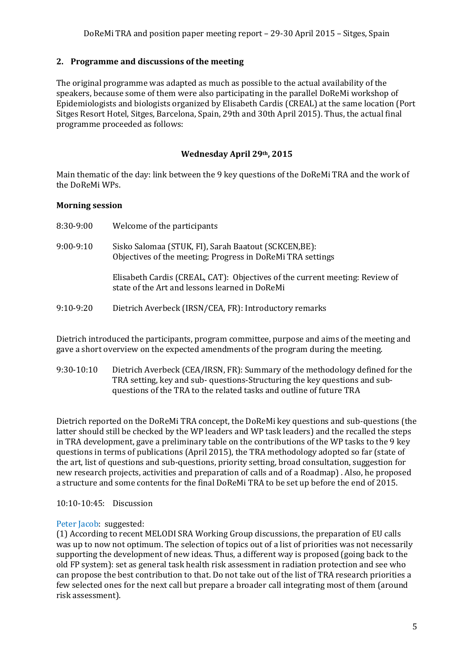# <span id="page-4-0"></span>**2. Programme and discussions of the meeting**

The original programme was adapted as much as possible to the actual availability of the speakers, because some of them were also participating in the parallel DoReMi workshop of Epidemiologists and biologists organized by Elisabeth Cardis (CREAL) at the same location (Port Sitges Resort Hotel, Sitges, Barcelona, Spain, 29th and 30th April 2015). Thus, the actual final programme proceeded as follows:

# **Wednesday April 29th, 2015**

Main thematic of the day: link between the 9 key questions of the DoReMi TRA and the work of the DoReMi WPs.

#### **Morning session**

| 8:30-9:00   | Welcome of the participants                                                                                                   |
|-------------|-------------------------------------------------------------------------------------------------------------------------------|
| $9:00-9:10$ | Sisko Salomaa (STUK, FI), Sarah Baatout (SCKCEN, BE):<br>Objectives of the meeting; Progress in DoReMi TRA settings           |
|             | Elisabeth Cardis (CREAL, CAT): Objectives of the current meeting: Review of<br>state of the Art and lessons learned in DoReMi |
| $9:10-9:20$ | Dietrich Averbeck (IRSN/CEA, FR): Introductory remarks                                                                        |
|             |                                                                                                                               |

Dietrich introduced the participants, program committee, purpose and aims of the meeting and gave a short overview on the expected amendments of the program during the meeting.

9:30-10:10 Dietrich Averbeck (CEA/IRSN, FR): Summary of the methodology defined for the TRA setting, key and sub- questions-Structuring the key questions and subquestions of the TRA to the related tasks and outline of future TRA

Dietrich reported on the DoReMi TRA concept, the DoReMi key questions and sub-questions (the latter should still be checked by the WP leaders and WP task leaders) and the recalled the steps in TRA development, gave a preliminary table on the contributions of the WP tasks to the 9 key questions in terms of publications (April 2015), the TRA methodology adopted so far (state of the art, list of questions and sub-questions, priority setting, broad consultation, suggestion for new research projects, activities and preparation of calls and of a Roadmap) . Also, he proposed a structure and some contents for the final DoReMi TRA to be set up before the end of 2015.

10:10-10:45: Discussion

#### Peter Jacob: suggested:

(1) According to recent MELODI SRA Working Group discussions, the preparation of EU calls was up to now not optimum. The selection of topics out of a list of priorities was not necessarily supporting the development of new ideas. Thus, a different way is proposed (going back to the old FP system): set as general task health risk assessment in radiation protection and see who can propose the best contribution to that. Do not take out of the list of TRA research priorities a few selected ones for the next call but prepare a broader call integrating most of them (around risk assessment).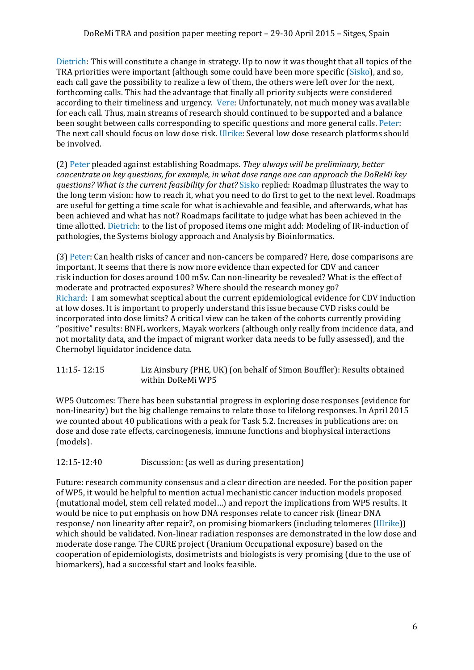Dietrich: This will constitute a change in strategy. Up to now it was thought that all topics of the TRA priorities were important (although some could have been more specific (Sisko), and so, each call gave the possibility to realize a few of them, the others were left over for the next, forthcoming calls. This had the advantage that finally all priority subjects were considered according to their timeliness and urgency. Vere: Unfortunately, not much money was available for each call. Thus, main streams of research should continued to be supported and a balance been sought between calls corresponding to specific questions and more general calls. Peter: The next call should focus on low dose risk. Ulrike: Several low dose research platforms should be involved.

(2) Peter pleaded against establishing Roadmaps. *They always will be preliminary, better concentrate on key questions, for example, in what dose range one can approach the DoReMi key questions? What is the current feasibility for that?* Sisko replied: Roadmap illustrates the way to the long term vision: how to reach it, what you need to do first to get to the next level. Roadmaps are useful for getting a time scale for what is achievable and feasible, and afterwards, what has been achieved and what has not? Roadmaps facilitate to judge what has been achieved in the time allotted. Dietrich: to the list of proposed items one might add: Modeling of IR-induction of pathologies, the Systems biology approach and Analysis by Bioinformatics.

(3) Peter: Can health risks of cancer and non-cancers be compared? Here, dose comparisons are important. It seems that there is now more evidence than expected for CDV and cancer risk induction for doses around 100 mSv. Can non-linearity be revealed? What is the effect of moderate and protracted exposures? Where should the research money go? Richard: I am somewhat sceptical about the current epidemiological evidence for CDV induction at low doses. It is important to properly understand this issue because CVD risks could be incorporated into dose limits? A critical view can be taken of the cohorts currently providing "positive" results: BNFL workers, Mayak workers (although only really from incidence data, and not mortality data, and the impact of migrant worker data needs to be fully assessed), and the Chernobyl liquidator incidence data.

11:15- 12:15 Liz Ainsbury (PHE, UK) (on behalf of Simon Bouffler): Results obtained within DoReMi WP5

WP5 Outcomes: There has been substantial progress in exploring dose responses (evidence for non-linearity) but the big challenge remains to relate those to lifelong responses. In April 2015 we counted about 40 publications with a peak for Task 5.2. Increases in publications are: on dose and dose rate effects, carcinogenesis, immune functions and biophysical interactions (models).

12:15-12:40 Discussion: (as well as during presentation)

Future: research community consensus and a clear direction are needed. For the position paper of WP5, it would be helpful to mention actual mechanistic cancer induction models proposed (mutational model, stem cell related model…) and report the implications from WP5 results. It would be nice to put emphasis on how DNA responses relate to cancer risk (linear DNA response/ non linearity after repair?, on promising biomarkers (including telomeres (Ulrike)) which should be validated. Non-linear radiation responses are demonstrated in the low dose and moderate dose range. The CURE project (Uranium Occupational exposure) based on the cooperation of epidemiologists, dosimetrists and biologists is very promising (due to the use of biomarkers), had a successful start and looks feasible.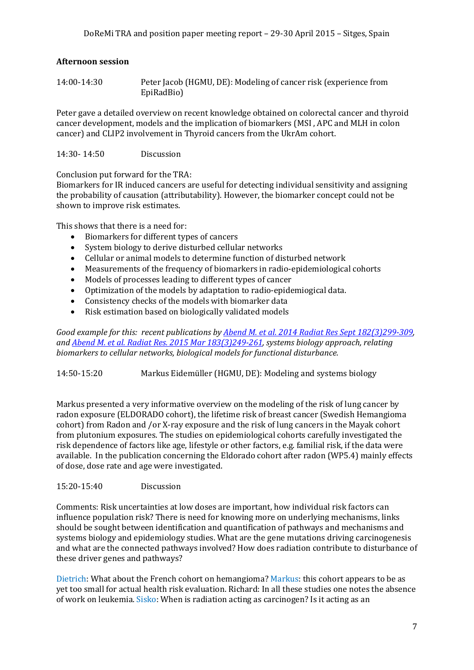# **Afternoon session**

| 14:00-14:30 | Peter Jacob (HGMU, DE): Modeling of cancer risk (experience from |
|-------------|------------------------------------------------------------------|
|             | EpiRadBio)                                                       |

Peter gave a detailed overview on recent knowledge obtained on colorectal cancer and thyroid cancer development, models and the implication of biomarkers (MSI , APC and MLH in colon cancer) and CLIP2 involvement in Thyroid cancers from the UkrAm cohort.

14:30- 14:50 Discussion

Conclusion put forward for the TRA:

Biomarkers for IR induced cancers are useful for detecting individual sensitivity and assigning the probability of causation (attributability). However, the biomarker concept could not be shown to improve risk estimates.

This shows that there is a need for:

- Biomarkers for different types of cancers
- System biology to derive disturbed cellular networks
- Cellular or animal models to determine function of disturbed network
- Measurements of the frequency of biomarkers in radio-epidemiological cohorts
- Models of processes leading to different types of cancer
- Optimization of the models by adaptation to radio-epidemiogical data.
- Consistency checks of the models with biomarker data
- Risk estimation based on biologically validated models

*Good example for this: recent publications by [Abend M. et al. 2014 Radiat Res Sept](http://www.bioone.org/doi/abs/10.1667/RR13645.1) 182(3)299-309, and Abend M. [et al. Radiat Res. 2015 Mar 183\(3\)249-261,](http://www.bioone.org/doi/abs/10.1667/RR13758.1) systems biology approach, relating biomarkers to cellular networks, biological models for functional disturbance.*

14:50-15:20 Markus Eidemüller (HGMU, DE): Modeling and systems biology

Markus presented a very informative overview on the modeling of the risk of lung cancer by radon exposure (ELDORADO cohort), the lifetime risk of breast cancer (Swedish Hemangioma cohort) from Radon and /or X-ray exposure and the risk of lung cancers in the Mayak cohort from plutonium exposures. The studies on epidemiological cohorts carefully investigated the risk dependence of factors like age, lifestyle or other factors, e.g. familial risk, if the data were available. In the publication concerning the Eldorado cohort after radon (WP5.4) mainly effects of dose, dose rate and age were investigated.

#### 15:20-15:40 Discussion

Comments: Risk uncertainties at low doses are important, how individual risk factors can influence population risk? There is need for knowing more on underlying mechanisms, links should be sought between identification and quantification of pathways and mechanisms and systems biology and epidemiology studies. What are the gene mutations driving carcinogenesis and what are the connected pathways involved? How does radiation contribute to disturbance of these driver genes and pathways?

Dietrich: What about the French cohort on hemangioma? Markus: this cohort appears to be as yet too small for actual health risk evaluation. Richard: In all these studies one notes the absence of work on leukemia. Sisko: When is radiation acting as carcinogen? Is it acting as an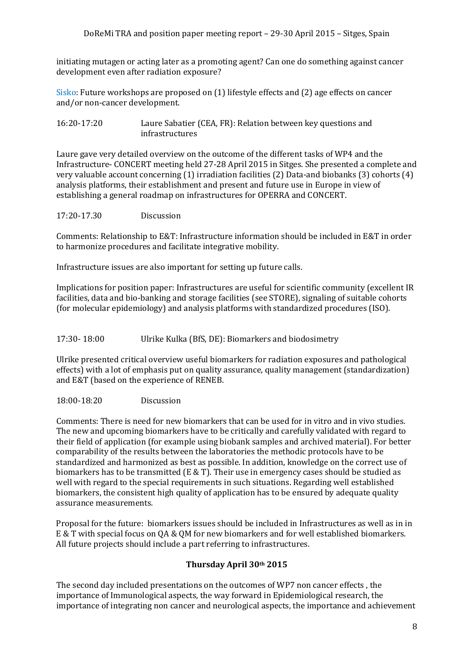initiating mutagen or acting later as a promoting agent? Can one do something against cancer development even after radiation exposure?

Sisko: Future workshops are proposed on (1) lifestyle effects and (2) age effects on cancer and/or non-cancer development.

16:20-17:20 Laure Sabatier (CEA, FR): Relation between key questions and infrastructures

Laure gave very detailed overview on the outcome of the different tasks of WP4 and the Infrastructure- CONCERT meeting held 27-28 April 2015 in Sitges. She presented a complete and very valuable account concerning (1) irradiation facilities (2) Data-and biobanks (3) cohorts (4) analysis platforms, their establishment and present and future use in Europe in view of establishing a general roadmap on infrastructures for OPERRA and CONCERT.

17:20-17.30 Discussion

Comments: Relationship to E&T: Infrastructure information should be included in E&T in order to harmonize procedures and facilitate integrative mobility.

Infrastructure issues are also important for setting up future calls.

Implications for position paper: Infrastructures are useful for scientific community (excellent IR facilities, data and bio-banking and storage facilities (see STORE), signaling of suitable cohorts (for molecular epidemiology) and analysis platforms with standardized procedures (ISO).

17:30- 18:00 Ulrike Kulka (BfS, DE): Biomarkers and biodosimetry

Ulrike presented critical overview useful biomarkers for radiation exposures and pathological effects) with a lot of emphasis put on quality assurance, quality management (standardization) and E&T (based on the experience of RENEB.

18:00-18:20 Discussion

Comments: There is need for new biomarkers that can be used for in vitro and in vivo studies. The new and upcoming biomarkers have to be critically and carefully validated with regard to their field of application (for example using biobank samples and archived material). For better comparability of the results between the laboratories the methodic protocols have to be standardized and harmonized as best as possible. In addition, knowledge on the correct use of biomarkers has to be transmitted (E  $&$  T). Their use in emergency cases should be studied as well with regard to the special requirements in such situations. Regarding well established biomarkers, the consistent high quality of application has to be ensured by adequate quality assurance measurements.

Proposal for the future: biomarkers issues should be included in Infrastructures as well as in in E & T with special focus on QA & QM for new biomarkers and for well established biomarkers. All future projects should include a part referring to infrastructures.

#### **Thursday April 30th 2015**

The second day included presentations on the outcomes of WP7 non cancer effects , the importance of Immunological aspects, the way forward in Epidemiological research, the importance of integrating non cancer and neurological aspects, the importance and achievement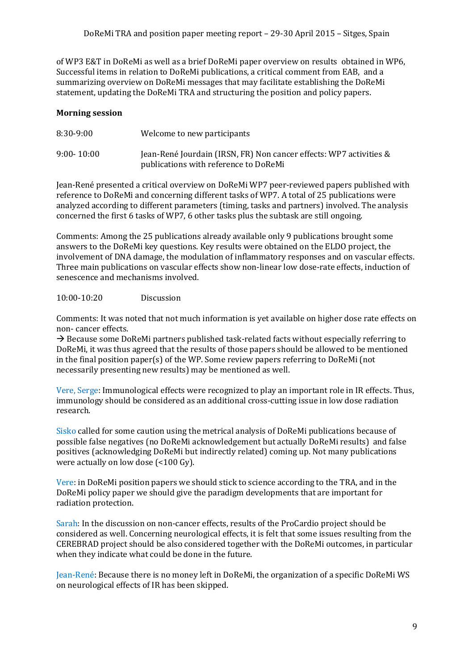of WP3 E&T in DoReMi as well as a brief DoReMi paper overview on results obtained in WP6, Successful items in relation to DoReMi publications, a critical comment from EAB, and a summarizing overview on DoReMi messages that may facilitate establishing the DoReMi statement, updating the DoReMi TRA and structuring the position and policy papers.

### **Morning session**

| $8:30-9:00$    | Welcome to new participants                                                                                 |
|----------------|-------------------------------------------------------------------------------------------------------------|
| $9:00 - 10:00$ | Jean-René Jourdain (IRSN, FR) Non cancer effects: WP7 activities &<br>publications with reference to DoReMi |

Jean-René presented a critical overview on DoReMi WP7 peer-reviewed papers published with reference to DoReMi and concerning different tasks of WP7. A total of 25 publications were analyzed according to different parameters (timing, tasks and partners) involved. The analysis concerned the first 6 tasks of WP7, 6 other tasks plus the subtask are still ongoing.

Comments: Among the 25 publications already available only 9 publications brought some answers to the DoReMi key questions. Key results were obtained on the ELDO project, the involvement of DNA damage, the modulation of inflammatory responses and on vascular effects. Three main publications on vascular effects show non-linear low dose-rate effects, induction of senescence and mechanisms involved.

#### 10:00-10:20 Discussion

Comments: It was noted that not much information is yet available on higher dose rate effects on non- cancer effects.

 $\rightarrow$  Because some DoReMi partners published task-related facts without especially referring to DoReMi, it was thus agreed that the results of those papers should be allowed to be mentioned in the final position paper(s) of the WP. Some review papers referring to DoReMi (not necessarily presenting new results) may be mentioned as well.

Vere, Serge: Immunological effects were recognized to play an important role in IR effects. Thus, immunology should be considered as an additional cross-cutting issue in low dose radiation research.

Sisko called for some caution using the metrical analysis of DoReMi publications because of possible false negatives (no DoReMi acknowledgement but actually DoReMi results) and false positives (acknowledging DoReMi but indirectly related) coming up. Not many publications were actually on low dose (<100 Gy).

Vere: in DoReMi position papers we should stick to science according to the TRA, and in the DoReMi policy paper we should give the paradigm developments that are important for radiation protection.

Sarah: In the discussion on non-cancer effects, results of the ProCardio project should be considered as well. Concerning neurological effects, it is felt that some issues resulting from the CEREBRAD project should be also considered together with the DoReMi outcomes, in particular when they indicate what could be done in the future.

Jean-René: Because there is no money left in DoReMi, the organization of a specific DoReMi WS on neurological effects of IR has been skipped.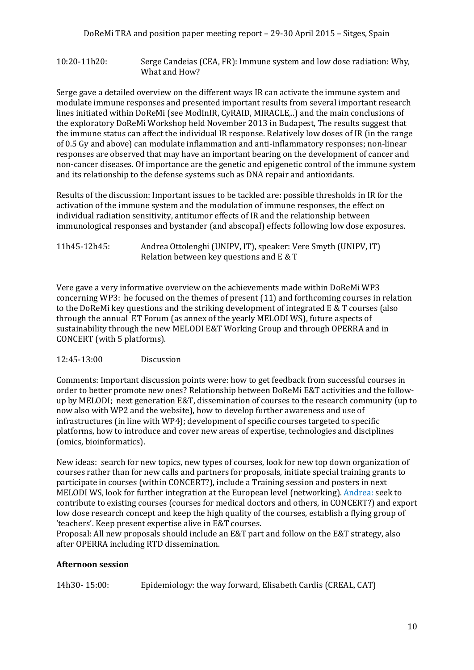#### 10:20-11h20: Serge Candeias (CEA, FR): Immune system and low dose radiation: Why, What and How?

Serge gave a detailed overview on the different ways IR can activate the immune system and modulate immune responses and presented important results from several important research lines initiated within DoReMi (see ModInIR, CyRAID, MIRACLE,..) and the main conclusions of the exploratory DoReMi Workshop held November 2013 in Budapest, The results suggest that the immune status can affect the individual IR response. Relatively low doses of IR (in the range of 0.5 Gy and above) can modulate inflammation and anti-inflammatory responses; non-linear responses are observed that may have an important bearing on the development of cancer and non-cancer diseases. Of importance are the genetic and epigenetic control of the immune system and its relationship to the defense systems such as DNA repair and antioxidants.

Results of the discussion: Important issues to be tackled are: possible thresholds in IR for the activation of the immune system and the modulation of immune responses, the effect on individual radiation sensitivity, antitumor effects of IR and the relationship between immunological responses and bystander (and abscopal) effects following low dose exposures.

11h45-12h45: Andrea Ottolenghi (UNIPV, IT), speaker: Vere Smyth (UNIPV, IT) Relation between key questions and E & T

Vere gave a very informative overview on the achievements made within DoReMi WP3 concerning WP3: he focused on the themes of present (11) and forthcoming courses in relation to the DoReMi key questions and the striking development of integrated E & T courses (also through the annual ET Forum (as annex of the yearly MELODI WS), future aspects of sustainability through the new MELODI E&T Working Group and through OPERRA and in CONCERT (with 5 platforms).

#### 12:45-13:00 Discussion

Comments: Important discussion points were: how to get feedback from successful courses in order to better promote new ones? Relationship between DoReMi E&T activities and the followup by MELODI; next generation E&T, dissemination of courses to the research community (up to now also with WP2 and the website), how to develop further awareness and use of infrastructures (in line with WP4); development of specific courses targeted to specific platforms, how to introduce and cover new areas of expertise, technologies and disciplines (omics, bioinformatics).

New ideas: search for new topics, new types of courses, look for new top down organization of courses rather than for new calls and partners for proposals, initiate special training grants to participate in courses (within CONCERT?), include a Training session and posters in next MELODI WS, look for further integration at the European level (networking). Andrea: seek to contribute to existing courses (courses for medical doctors and others, in CONCERT?) and export low dose research concept and keep the high quality of the courses, establish a flying group of 'teachers'. Keep present expertise alive in E&T courses.

Proposal: All new proposals should include an E&T part and follow on the E&T strategy, also after OPERRA including RTD dissemination.

#### **Afternoon session**

14h30- 15:00: Epidemiology: the way forward, Elisabeth Cardis (CREAL, CAT)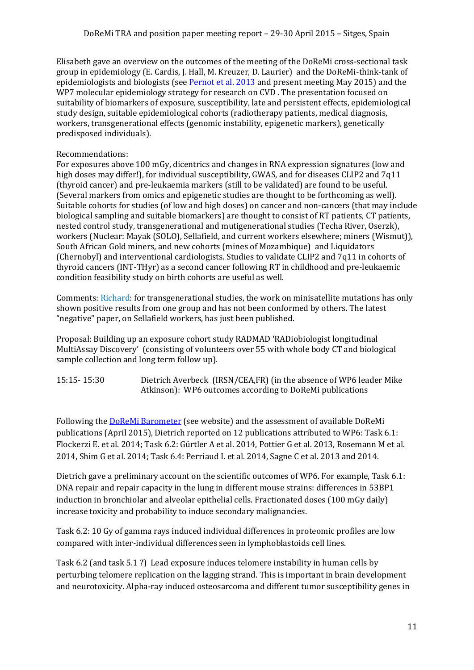Elisabeth gave an overview on the outcomes of the meeting of the DoReMi cross-sectional task group in epidemiology (E. Cardis, J. Hall, M. Kreuzer, D. Laurier) and the DoReMi-think-tank of epidemiologists and biologists (see [Pernot et al. 2013](http://www.sciencedirect.com/science/article/pii/S1383574212000427) and present meeting May 2015) and the WP7 molecular epidemiology strategy for research on CVD . The presentation focused on suitability of biomarkers of exposure, susceptibility, late and persistent effects, epidemiological study design, suitable epidemiological cohorts (radiotherapy patients, medical diagnosis, workers, transgenerational effects (genomic instability, epigenetic markers), genetically predisposed individuals).

# Recommendations:

For exposures above 100 mGy, dicentrics and changes in RNA expression signatures (low and high doses may differ!), for individual susceptibility, GWAS, and for diseases CLIP2 and 7q11 (thyroid cancer) and pre-leukaemia markers (still to be validated) are found to be useful. (Several markers from omics and epigenetic studies are thought to be forthcoming as well). Suitable cohorts for studies (of low and high doses) on cancer and non-cancers (that may include biological sampling and suitable biomarkers) are thought to consist of RT patients, CT patients, nested control study, transgenerational and mutigenerational studies (Techa River, Oserzk), workers (Nuclear: Mayak (SOLO), Sellafield, and current workers elsewhere; miners (Wismut)), South African Gold miners, and new cohorts (mines of Mozambique) and Liquidators (Chernobyl) and interventional cardiologists. Studies to validate CLIP2 and 7q11 in cohorts of thyroid cancers (INT-THyr) as a second cancer following RT in childhood and pre-leukaemic condition feasibility study on birth cohorts are useful as well.

Comments: Richard: for transgenerational studies, the work on minisatellite mutations has only shown positive results from one group and has not been conformed by others. The latest "negative" paper, on Sellafield workers, has just been published.

Proposal: Building up an exposure cohort study RADMAD 'RADiobiologist longitudinal MultiAssay Discovery' (consisting of volunteers over 55 with whole body CT and biological sample collection and long term follow up).

15:15- 15:30 Dietrich Averbeck (IRSN/CEA,FR) (in the absence of WP6 leader Mike Atkinson): WP6 outcomes according to DoReMi publications

Following the **DoReMi Barometer** (see website) and the assessment of available DoReMi publications (April 2015), Dietrich reported on 12 publications attributed to WP6: Task 6.1: Flockerzi E. et al. 2014; Task 6.2: Gürtler A et al. 2014, Pottier G et al. 2013, Rosemann M et al. 2014, Shim G et al. 2014; Task 6.4: Perriaud I. et al. 2014, Sagne C et al. 2013 and 2014.

Dietrich gave a preliminary account on the scientific outcomes of WP6. For example, Task 6.1: DNA repair and repair capacity in the lung in different mouse strains: differences in 53BP1 induction in bronchiolar and alveolar epithelial cells. Fractionated doses (100 mGy daily) increase toxicity and probability to induce secondary malignancies.

Task 6.2: 10 Gy of gamma rays induced individual differences in proteomic profiles are low compared with inter-individual differences seen in lymphoblastoids cell lines.

Task 6.2 (and task 5.1 ?) Lead exposure induces telomere instability in human cells by perturbing telomere replication on the lagging strand. This is important in brain development and neurotoxicity. Alpha-ray induced osteosarcoma and different tumor susceptibility genes in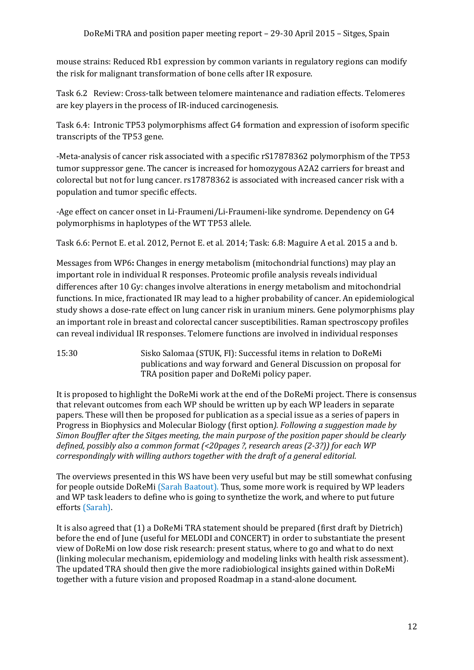mouse strains: Reduced Rb1 expression by common variants in regulatory regions can modify the risk for malignant transformation of bone cells after IR exposure.

Task 6.2 Review: Cross-talk between telomere maintenance and radiation effects. Telomeres are key players in the process of IR-induced carcinogenesis.

Task 6.4: Intronic TP53 polymorphisms affect G4 formation and expression of isoform specific transcripts of the TP53 gene.

-Meta-analysis of cancer risk associated with a specific rS17878362 polymorphism of the TP53 tumor suppressor gene. The cancer is increased for homozygous A2A2 carriers for breast and colorectal but not for lung cancer. rs17878362 is associated with increased cancer risk with a population and tumor specific effects.

-Age effect on cancer onset in Li-Fraumeni/Li-Fraumeni-like syndrome. Dependency on G4 polymorphisms in haplotypes of the WT TP53 allele.

Task 6.6: Pernot E. et al. 2012, Pernot E. et al. 2014; Task: 6.8: Maguire A et al. 2015 a and b.

Messages from WP6**:** Changes in energy metabolism (mitochondrial functions) may play an important role in individual R responses. Proteomic profile analysis reveals individual differences after 10 Gy: changes involve alterations in energy metabolism and mitochondrial functions. In mice, fractionated IR may lead to a higher probability of cancer. An epidemiological study shows a dose-rate effect on lung cancer risk in uranium miners. Gene polymorphisms play an important role in breast and colorectal cancer susceptibilities. Raman spectroscopy profiles can reveal individual IR responses. Telomere functions are involved in individual responses

15:30 Sisko Salomaa (STUK, FI): Successful items in relation to DoReMi publications and way forward and General Discussion on proposal for TRA position paper and DoReMi policy paper.

It is proposed to highlight the DoReMi work at the end of the DoReMi project. There is consensus that relevant outcomes from each WP should be written up by each WP leaders in separate papers. These will then be proposed for publication as a special issue as a series of papers in Progress in Biophysics and Molecular Biology (first option*). Following a suggestion made by Simon Bouffler after the Sitges meeting, the main purpose of the position paper should be clearly defined, possibly also a common format (<20pages ?, research areas (2-3?)) for each WP correspondingly with willing authors together with the draft of a general editorial.*

The overviews presented in this WS have been very useful but may be still somewhat confusing for people outside DoReMi (Sarah Baatout). Thus, some more work is required by WP leaders and WP task leaders to define who is going to synthetize the work, and where to put future efforts (Sarah).

It is also agreed that (1) a DoReMi TRA statement should be prepared (first draft by Dietrich) before the end of June (useful for MELODI and CONCERT) in order to substantiate the present view of DoReMi on low dose risk research: present status, where to go and what to do next (linking molecular mechanism, epidemiology and modeling links with health risk assessment). The updated TRA should then give the more radiobiological insights gained within DoReMi together with a future vision and proposed Roadmap in a stand-alone document.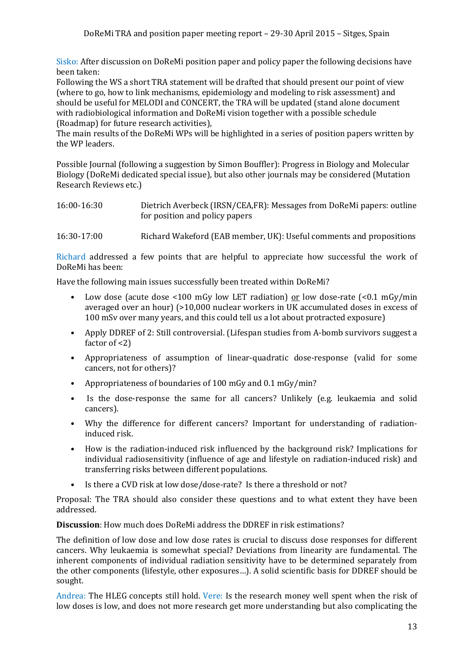Sisko: After discussion on DoReMi position paper and policy paper the following decisions have been taken:

Following the WS a short TRA statement will be drafted that should present our point of view (where to go, how to link mechanisms, epidemiology and modeling to risk assessment) and should be useful for MELODI and CONCERT, the TRA will be updated (stand alone document with radiobiological information and DoReMi vision together with a possible schedule (Roadmap) for future research activities),

The main results of the DoReMi WPs will be highlighted in a series of position papers written by the WP leaders.

Possible Journal (following a suggestion by Simon Bouffler): Progress in Biology and Molecular Biology (DoReMi dedicated special issue), but also other journals may be considered (Mutation Research Reviews etc.)

| 16:00-16:30 | Dietrich Averbeck (IRSN/CEA, FR): Messages from DoReMi papers: outline |
|-------------|------------------------------------------------------------------------|
|             | for position and policy papers                                         |

#### 16:30-17:00 Richard Wakeford (EAB member, UK): Useful comments and propositions

Richard addressed a few points that are helpful to appreciate how successful the work of DoReMi has been:

Have the following main issues successfully been treated within DoReMi?

- Low dose (acute dose <100 mGy low LET radiation) <u>or</u> low dose-rate (<0.1 mGy/min averaged over an hour) (>10,000 nuclear workers in UK accumulated doses in excess of 100 mSv over many years, and this could tell us a lot about protracted exposure)
- Apply DDREF of 2: Still controversial. (Lifespan studies from A-bomb survivors suggest a factor of <2)
- Appropriateness of assumption of linear-quadratic dose-response (valid for some cancers, not for others)?
- Appropriateness of boundaries of 100 mGy and 0.1 mGy/min?
- Is the dose-response the same for all cancers? Unlikely (e.g. leukaemia and solid cancers).
- Why the difference for different cancers? Important for understanding of radiationinduced risk.
- How is the radiation-induced risk influenced by the background risk? Implications for individual radiosensitivity (influence of age and lifestyle on radiation-induced risk) and transferring risks between different populations.
- Is there a CVD risk at low dose/dose-rate? Is there a threshold or not?

Proposal: The TRA should also consider these questions and to what extent they have been addressed.

**Discussion**: How much does DoReMi address the DDREF in risk estimations?

The definition of low dose and low dose rates is crucial to discuss dose responses for different cancers. Why leukaemia is somewhat special? Deviations from linearity are fundamental. The inherent components of individual radiation sensitivity have to be determined separately from the other components (lifestyle, other exposures…). A solid scientific basis for DDREF should be sought.

Andrea: The HLEG concepts still hold. Vere: Is the research money well spent when the risk of low doses is low, and does not more research get more understanding but also complicating the